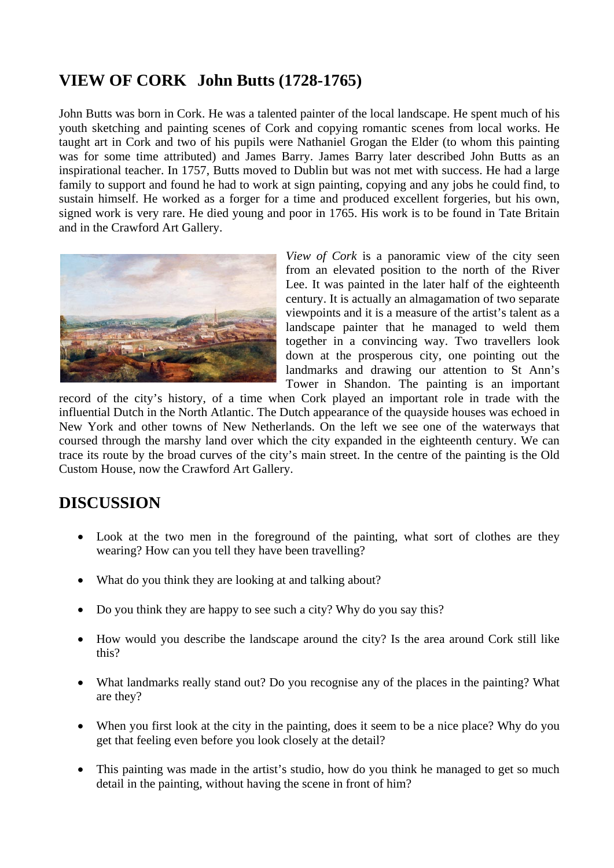## **VIEW OF CORK John Butts (1728-1765)**

John Butts was born in Cork. He was a talented painter of the local landscape. He spent much of his youth sketching and painting scenes of Cork and copying romantic scenes from local works. He taught art in Cork and two of his pupils were Nathaniel Grogan the Elder (to whom this painting was for some time attributed) and James Barry. James Barry later described John Butts as an inspirational teacher. In 1757, Butts moved to Dublin but was not met with success. He had a large family to support and found he had to work at sign painting, copying and any jobs he could find, to sustain himself. He worked as a forger for a time and produced excellent forgeries, but his own, signed work is very rare. He died young and poor in 1765. His work is to be found in Tate Britain and in the Crawford Art Gallery.



*View of Cork* is a panoramic view of the city seen from an elevated position to the north of the River Lee. It was painted in the later half of the eighteenth century. It is actually an almagamation of two separate viewpoints and it is a measure of the artist's talent as a landscape painter that he managed to weld them together in a convincing way. Two travellers look down at the prosperous city, one pointing out the landmarks and drawing our attention to St Ann's Tower in Shandon. The painting is an important

record of the city's history, of a time when Cork played an important role in trade with the influential Dutch in the North Atlantic. The Dutch appearance of the quayside houses was echoed in New York and other towns of New Netherlands. On the left we see one of the waterways that coursed through the marshy land over which the city expanded in the eighteenth century. We can trace its route by the broad curves of the city's main street. In the centre of the painting is the Old Custom House, now the Crawford Art Gallery.

## **DISCUSSION**

- Look at the two men in the foreground of the painting, what sort of clothes are they wearing? How can you tell they have been travelling?
- What do you think they are looking at and talking about?
- Do you think they are happy to see such a city? Why do you say this?
- How would you describe the landscape around the city? Is the area around Cork still like this?
- What landmarks really stand out? Do you recognise any of the places in the painting? What are they?
- When you first look at the city in the painting, does it seem to be a nice place? Why do you get that feeling even before you look closely at the detail?
- This painting was made in the artist's studio, how do you think he managed to get so much detail in the painting, without having the scene in front of him?